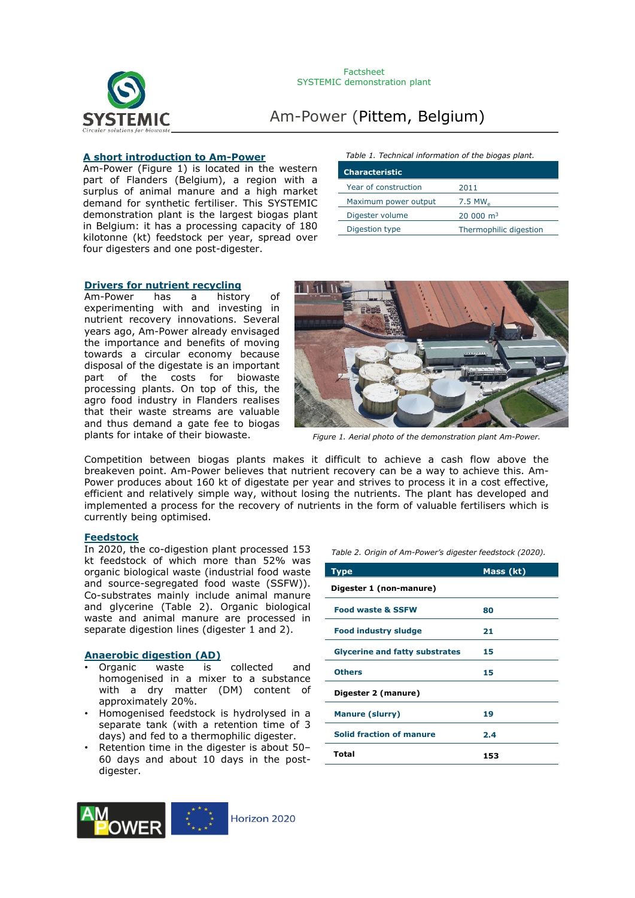

#### **A short introduction to Am-Power**

Am-Power (Figure 1) is located in the western part of Flanders (Belgium), a region with a surplus of animal manure and a high market demand for synthetic fertiliser. This SYSTEMIC demonstration plant is the largest biogas plant in Belgium: it has a processing capacity of 180 kilotonne (kt) feedstock per year, spread over four digesters and one post-digester.

#### *Table 1. Technical information of the biogas plant.*

| <b>Characteristic</b> |                         |
|-----------------------|-------------------------|
| Year of construction  | 2011                    |
| Maximum power output  | $7.5$ MW $_{\circ}$     |
| Digester volume       | $20,000$ m <sup>3</sup> |
| Digestion type        | Thermophilic digestion  |

### **Drivers for nutrient recycling**

Am-Power has a history of experimenting with and investing in nutrient recovery innovations. Several years ago, Am-Power already envisaged the importance and benefits of moving towards a circular economy because disposal of the digestate is an important part of the costs for biowaste processing plants. On top of this, the agro food industry in Flanders realises that their waste streams are valuable and thus demand a gate fee to biogas plants for intake of their biowaste.



*Figure 1. Aerial photo of the demonstration plant Am-Power.*

Competition between biogas plants makes it difficult to achieve a cash flow above the breakeven point. Am-Power believes that nutrient recovery can be a way to achieve this. Am-Power produces about 160 kt of digestate per year and strives to process it in a cost effective, efficient and relatively simple way, without losing the nutrients. The plant has developed and implemented a process for the recovery of nutrients in the form of valuable fertilisers which is currently being optimised.

#### **Feedstock**

In 2020, the co-digestion plant processed 153 kt feedstock of which more than 52% was organic biological waste (industrial food waste and source-segregated food waste (SSFW)). Co-substrates mainly include animal manure and glycerine (Table 2). Organic biological waste and animal manure are processed in separate digestion lines (digester 1 and 2).

#### **Anaerobic digestion (AD)**

- Organic waste is collected and homogenised in a mixer to a substance with a dry matter (DM) content of approximately 20%.
- Homogenised feedstock is hydrolysed in a separate tank (with a retention time of 3 days) and fed to a thermophilic digester.
- Retention time in the digester is about 50– 60 days and about 10 days in the postdigester.



*Table 2. Origin of Am-Power's digester feedstock (2020).*

| Type                                  | Mass (kt) |  |  |
|---------------------------------------|-----------|--|--|
| Digester 1 (non-manure)               |           |  |  |
| <b>Food waste &amp; SSFW</b>          | 80        |  |  |
| <b>Food industry sludge</b>           | 21        |  |  |
| <b>Glycerine and fatty substrates</b> | 15        |  |  |
| <b>Others</b>                         | 15        |  |  |
| Digester 2 (manure)                   |           |  |  |
| <b>Manure (slurry)</b>                | 19        |  |  |
| <b>Solid fraction of manure</b>       | 2.4       |  |  |
| Total                                 | 153       |  |  |

Horizon 2020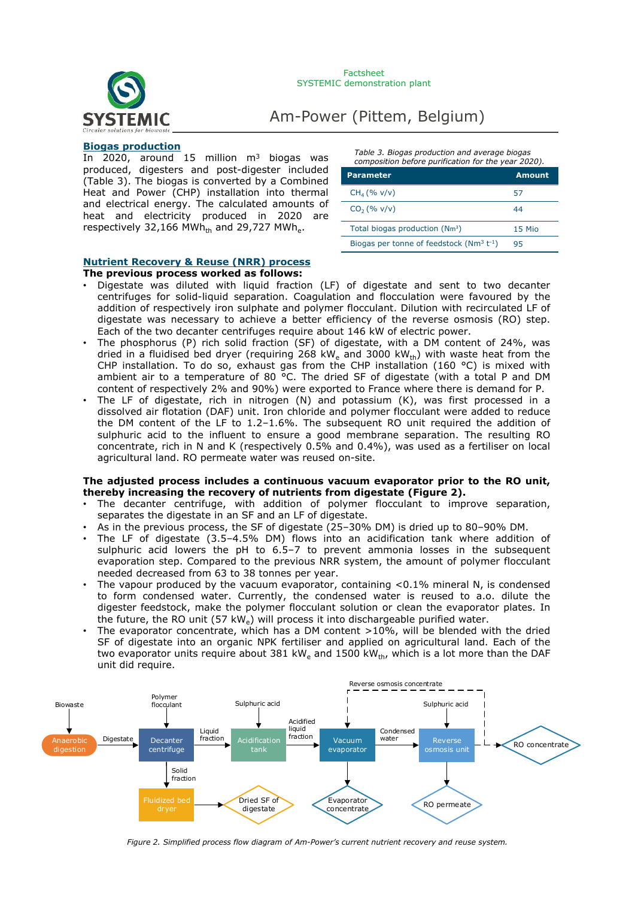

#### **Biogas production**

In 2020, around  $15$  million m<sup>3</sup> biogas was produced, digesters and post-digester included (Table 3). The biogas is converted by a Combined Heat and Power (CHP) installation into thermal and electrical energy. The calculated amounts of heat and electricity produced in 2020 are respectively 32,166 MWh<sub>th</sub> and 29,727 MWh<sub>e</sub>.

*Table 3. Biogas production and average biogas composition before purification for the year 2020).*

| <b>Parameter</b>                              | Amount |
|-----------------------------------------------|--------|
| $CH_4 (% v/v)$                                | 57     |
| $CO2(\% v/v)$                                 | 44     |
| Total biogas production (Nm <sup>3</sup> )    | 15 Mio |
| Biogas per tonne of feedstock $(Nm^3 t^{-1})$ | 95     |

#### **Nutrient Recovery & Reuse (NRR) process**

#### **The previous process worked as follows:**

- Digestate was diluted with liquid fraction (LF) of digestate and sent to two decanter centrifuges for solid-liquid separation. Coagulation and flocculation were favoured by the addition of respectively iron sulphate and polymer flocculant. Dilution with recirculated LF of digestate was necessary to achieve a better efficiency of the reverse osmosis (RO) step. Each of the two decanter centrifuges require about 146 kW of electric power.
- The phosphorus (P) rich solid fraction (SF) of digestate, with a DM content of 24%, was dried in a fluidised bed dryer (requiring 268 kW<sub>e</sub> and 3000 kW<sub>th</sub>) with waste heat from the CHP installation. To do so, exhaust gas from the CHP installation (160 °C) is mixed with ambient air to a temperature of 80 °C. The dried SF of digestate (with a total P and DM content of respectively 2% and 90%) were exported to France where there is demand for P.
- The LF of digestate, rich in nitrogen  $(N)$  and potassium  $(K)$ , was first processed in a dissolved air flotation (DAF) unit. Iron chloride and polymer flocculant were added to reduce the DM content of the LF to  $1.2-1.6\%$ . The subsequent RO unit required the addition of sulphuric acid to the influent to ensure a good membrane separation. The resulting RO concentrate, rich in N and K (respectively 0.5% and 0.4%), was used as a fertiliser on local agricultural land. RO permeate water was reused on-site.

#### **The adjusted process includes a continuous vacuum evaporator prior to the RO unit, thereby increasing the recovery of nutrients from digestate (Figure 2).**

- The decanter centrifuge, with addition of polymer flocculant to improve separation, separates the digestate in an SF and an LF of digestate.
- As in the previous process, the SF of digestate (25–30% DM) is dried up to 80–90% DM.
- The LF of digestate (3.5–4.5% DM) flows into an acidification tank where addition of sulphuric acid lowers the pH to 6.5–7 to prevent ammonia losses in the subsequent evaporation step. Compared to the previous NRR system, the amount of polymer flocculant needed decreased from 63 to 38 tonnes per year.
- The vapour produced by the vacuum evaporator, containing  $< 0.1\%$  mineral N, is condensed to form condensed water. Currently, the condensed water is reused to a.o. dilute the digester feedstock, make the polymer flocculant solution or clean the evaporator plates. In the future, the RO unit (57 kWe) will process it into dischargeable purified water.
- The evaporator concentrate, which has a DM content  $>10\%$ , will be blended with the dried SF of digestate into an organic NPK fertiliser and applied on agricultural land. Each of the two evaporator units require about 381 kW<sub>e</sub> and 1500 kW<sub>th</sub>, which is a lot more than the DAF unit did require.



*Figure 2. Simplified process flow diagram of Am-Power's current nutrient recovery and reuse system.*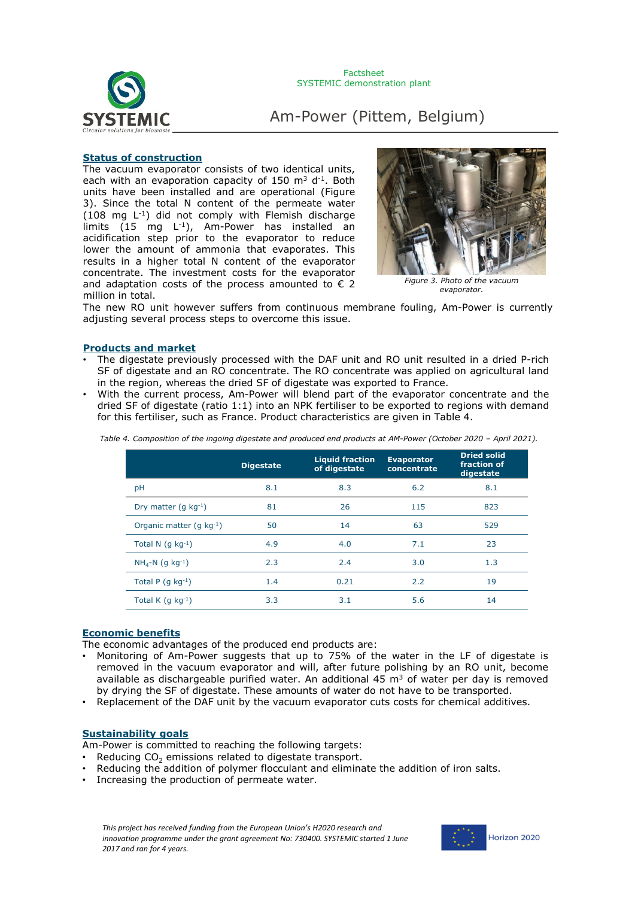

#### **Status of construction**

The vacuum evaporator consists of two identical units, each with an evaporation capacity of 150  $\text{m}^3$  d<sup>-1</sup>. Both units have been installed and are operational (Figure 3). Since the total N content of the permeate water (108 mg L-1) did not comply with Flemish discharge limits  $(15 \text{ mg } L^{-1})$ , Am-Power has installed an acidification step prior to the evaporator to reduce lower the amount of ammonia that evaporates. This results in a higher total N content of the evaporator concentrate. The investment costs for the evaporator and adaptation costs of the process amounted to  $\epsilon$  2 million in total.



*Figure 3. Photo of the vacuum evaporator.*

The new RO unit however suffers from continuous membrane fouling, Am-Power is currently adjusting several process steps to overcome this issue.

#### **Products and market**

- The digestate previously processed with the DAF unit and RO unit resulted in a dried P-rich SF of digestate and an RO concentrate. The RO concentrate was applied on agricultural land in the region, whereas the dried SF of digestate was exported to France.
- With the current process, Am-Power will blend part of the evaporator concentrate and the dried SF of digestate (ratio 1:1) into an NPK fertiliser to be exported to regions with demand for this fertiliser, such as France. Product characteristics are given in Table 4.

|                               | <b>Digestate</b> | <b>Liquid fraction</b><br>of digestate | <b>Evaporator</b><br>concentrate | <b>Dried solid</b><br>fraction of<br>digestate |
|-------------------------------|------------------|----------------------------------------|----------------------------------|------------------------------------------------|
| pH                            | 8.1              | 8.3                                    | 6.2                              | 8.1                                            |
| Dry matter (g $kg^{-1}$ )     | 81               | 26                                     | 115                              | 823                                            |
| Organic matter (g kg-1)       | 50               | 14                                     | 63                               | 529                                            |
| Total N $(q kq^{-1})$         | 4.9              | 4.0                                    | 7.1                              | 23                                             |
| $NH4-N$ (q kg <sup>-1</sup> ) | 2.3              | 2.4                                    | 3.0                              | 1.3                                            |
| Total P $(q kq^{-1})$         | 1.4              | 0.21                                   | 2.2                              | 19                                             |
| Total K $(q kq^{-1})$         | 3.3              | 3.1                                    | 5.6                              | 14                                             |

*Table 4. Composition of the ingoing digestate and produced end products at AM-Power (October 2020 – April 2021).*

#### **Economic benefits**

The economic advantages of the produced end products are:

- Monitoring of Am-Power suggests that up to 75% of the water in the LF of digestate is removed in the vacuum evaporator and will, after future polishing by an RO unit, become available as dischargeable purified water. An additional 45  $m<sup>3</sup>$  of water per day is removed by drying the SF of digestate. These amounts of water do not have to be transported.
- Replacement of the DAF unit by the vacuum evaporator cuts costs for chemical additives.

#### **Sustainability goals**

Am-Power is committed to reaching the following targets:

- Reducing  $CO<sub>2</sub>$  emissions related to digestate transport.
- Reducing the addition of polymer flocculant and eliminate the addition of iron salts.
- Increasing the production of permeate water.

*This project has received funding from the European Union's H2020 research and innovation programme under the grant agreement No: 730400. SYSTEMIC started 1 June 2017 and ran for 4 years.*

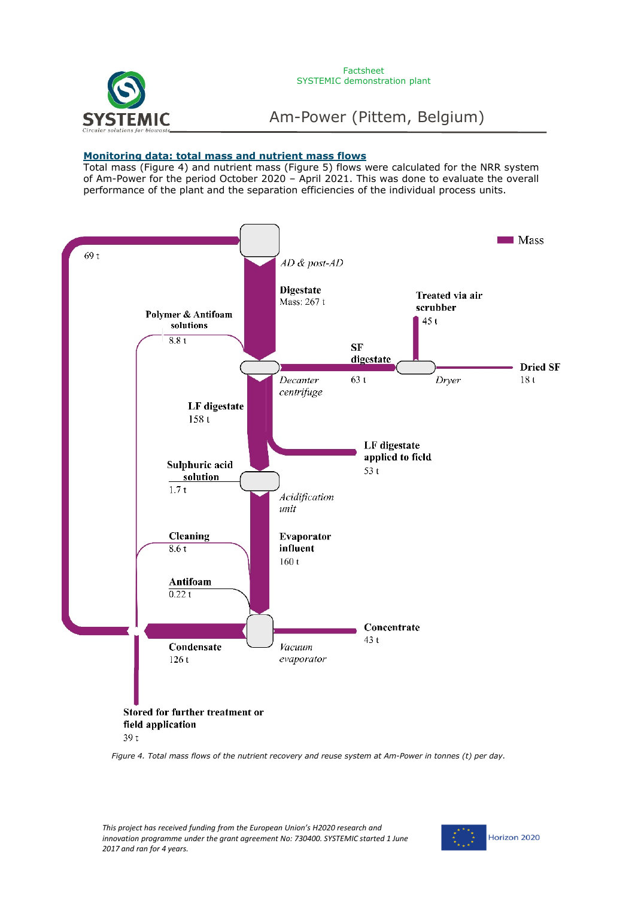

#### **Monitoring data: total mass and nutrient mass flows**

Total mass (Figure 4) and nutrient mass (Figure 5) flows were calculated for the NRR system of Am-Power for the period October 2020 – April 2021. This was done to evaluate the overall performance of the plant and the separation efficiencies of the individual process units.



*Figure 4. Total mass flows of the nutrient recovery and reuse system at Am-Power in tonnes (t) per day.* 

*This project has received funding from the European Union's H2020 research and innovation programme under the grant agreement No: 730400. SYSTEMIC started 1 June 2017 and ran for 4 years.*

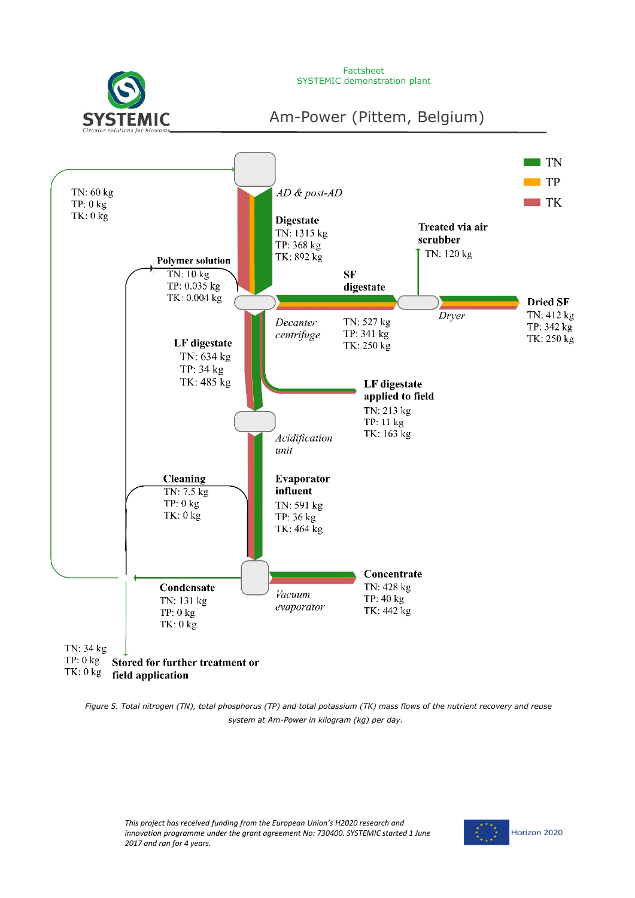

Factsheet SYSTEMIC demonstration plant

Am-Power (Pittem, Belgium)



*Figure 5. Total nitrogen (TN), total phosphorus (TP) and total potassium (TK) mass flows of the nutrient recovery and reuse system at Am-Power in kilogram (kg) per day.*